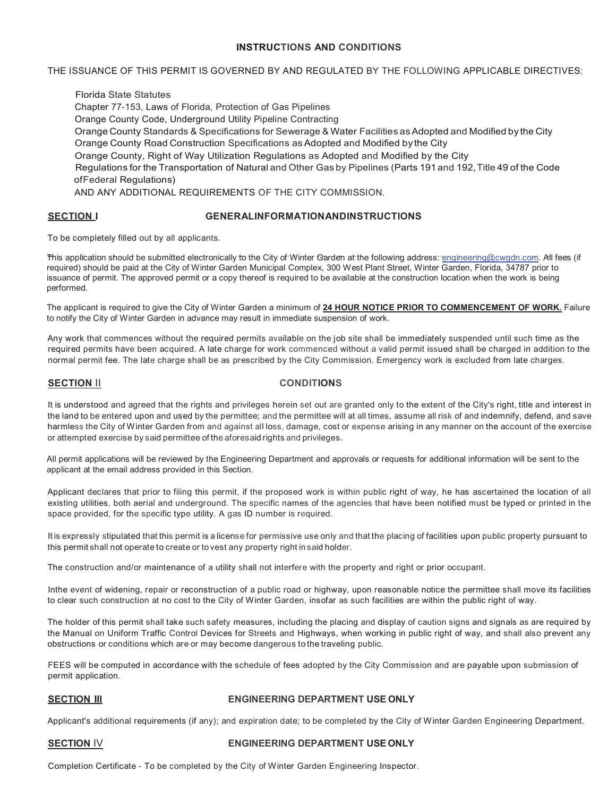# **INSTRUCTIONS AND CONDITIONS**

THE ISSUANCE OF THIS PERMIT IS GOVERNED BY AND REGULATED BY THE FOLLOWING APPLICABLE DIRECTIVES:

Florida State Statutes Chapter 77-153, Laws of Florida, Protection of Gas Pipelines Orange County Code, Underground Utility Pipeline Contracting Orange County Standards & Specifications for Sewerage & Water Facilities as Adopted and Modified by the City Orange County Road Construction Specifications as Adopted and Modified by the City Orange County, Right of Way Utilization Regulations as Adopted and Modified by the City Regulations for the Transportation of Natural and Other Gas by Pipelines (Parts 191 and 192,Title 49 of the Code ofFederal Regulations) AND ANY ADDITIONAL REQUIREMENTS OF THE CITY COMMISSION.

# **SECTION.I GENERALINFORMATIONANDINSTRUCTIONS**

To be completely filled out by all applicants.

This application should be submitted electronically to the City of Winter Garden at the following address: <u>engineering@cwgdn.com</u>. All fees (if required) should be paid at the City of Winter Garden Municipal Complex, 300 West Plant Street, Winter Garden, Florida, 34787 prior to issuance of permit. The approved permit or a copy thereof is required to be available at the construction location when the work is being  $\alpha$  becomes the approximation Illinois by the approximation Illinois  $\alpha$  and  $\alpha$  City of Winter Garden Engineering Garden Engineering Garden Engineering Garden Engineering Garden Engineering Garden Engineering Garden E performed.

The applicant is required to give the City of Winter Garden a minimum of 24 HOUR NOTICE PRIOR TO COMMENCEMENT OF WORK. Failure (\*)LATE CHARGE: to notify the City of Winter Garden in advance may result in immediate suspension of work.

Any work that commences without the required permits available on the job site shall be immediately suspended until such time as the required permits have been acquired. A late charge for work commenced without a valid permit issued shall be charged in addition to the normal permit fee. The late charge shall be as prescribed by the City Commission. Emergency work is excluded from late charges.

# **SECTION II CONDITIONS**

It is understood and agreed that the rights and privileges herein set out are granted only to the extent of the City's right, title and interest in the land to be entered upon and used by the permittee; and the permittee will at all times, assume all risk of and indemnify, defend, and save harmless the City of Winter Garden from and against all loss, damage, cost or expense arising in any manner on the account of the exercise or attempted exercise by said permittee of the aforesaid rights and privileges.

All permit applications will be reviewed by the Engineering Department and approvals or requests for additional information will be sent to the applicant at the email address provided in this Section.

Applicant declares that prior to filing this permit, if the proposed work is within public right of way, he has ascertained the location of all existing utilities, both aerial and underground. The specific names of the agencies that have been notified must be typed or printed in the space provided, for the specific type utility. A gas ID number is required.

It is expressly stipulated that this permit is a license for permissive use only and that the placing of facilities upon public property pursuant to this permit shall not operate to create or to vest any property right in said holder.

The construction and/or maintenance of a utility shall not interfere with the property and right or prior occupant.

Inthe event of widening, repair or reconstruction of a public road or highway, upon reasonable notice the permittee shall move its facilities to clear such construction at no cost to the City of Winter Garden, insofar as such facilities are within the public right of way.

The holder of this permit shall take such safety measures, including the placing and display of caution signs and signals as are required by the Manual on Uniform Traffic Control Devices for Streets and Highways, when working in public right of way, and shall also prevent any obstructions or conditions which are or may become dangerous to the traveling public.

FEES will be computed in accordance with the schedule of fees adopted by the City Commission and are payable upon submission of permit application.

### **SECTION Ill ENGINEERING DEPARTMENT USE ONLY**

Applicant's additional requirements (if any); and expiration date; to be completed by the City of Winter Garden Engineering Department.

### **SECTION** IV **ENGINEERING DEPARTMENT USE ONLY**

Completion Certificate - To be completed by the City of Winter Garden Engineering Inspector.